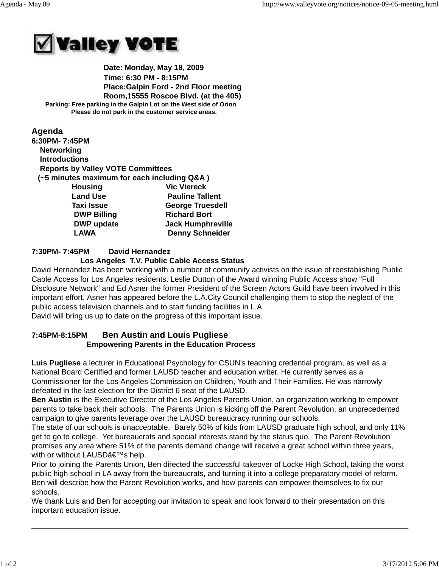

 **Date: Monday, May 18, 2009 Time: 6:30 PM - 8:15PM Place:Galpin Ford - 2nd Floor meeting Room,15555 Roscoe Blvd. (at the 405) Parking: Free parking in the Galpin Lot on the West side of Orion Please do not park in the customer service areas.**

## **Agenda 6:30PM- 7:45PM Networking Introductions Reports by Valley VOTE Committees (~5 minutes maximum for each including Q&A ) Housing Vic Viereck Land Use Conserverse Pauline Tallent Taxi Issue George Truesdell DWP Billing Richard Bort DWP update Jack Humphreville** LAWA Denny Schneider

## **7:30PM- 7:45PM David Hernandez**

## **Los Angeles T.V. Public Cable Access Status**

David Hernandez has been working with a number of community activists on the issue of reestablishing Public Cable Access for Los Angeles residents. Leslie Dutton of the Award winning Public Access show "Full Disclosure Network" and Ed Asner the former President of the Screen Actors Guild have been involved in this important effort. Asner has appeared before the L.A.City Council challenging them to stop the neglect of the public access television channels and to start funding facilities in L.A. David will bring us up to date on the progress of this important issue.

# **7:45PM-8:15PM Ben Austin and Louis Pugliese Empowering Parents in the Education Process**

**Luis Pugliese** a lecturer in Educational Psychology for CSUN's teaching credential program, as well as a National Board Certified and former LAUSD teacher and education writer. He currently serves as a Commissioner for the Los Angeles Commission on Children, Youth and Their Families. He was narrowly defeated in the last election for the District 6 seat of the LAUSD.

**Ben Austin** is the Executive Director of the Los Angeles Parents Union, an organization working to empower parents to take back their schools. The Parents Union is kicking off the Parent Revolution, an unprecedented campaign to give parents leverage over the LAUSD bureaucracy running our schools.

The state of our schools is unacceptable. Barely 50% of kids from LAUSD graduate high school, and only 11% get to go to college. Yet bureaucrats and special interests stand by the status quo. The Parent Revolution promises any area where 51% of the parents demand change will receive a great school within three years, with or without LAUSD's help.

Prior to joining the Parents Union, Ben directed the successful takeover of Locke High School, taking the worst public high school in LA away from the bureaucrats, and turning it into a college preparatory model of reform. Ben will describe how the Parent Revolution works, and how parents can empower themselves to fix our schools.

We thank Luis and Ben for accepting our invitation to speak and look forward to their presentation on this important education issue.